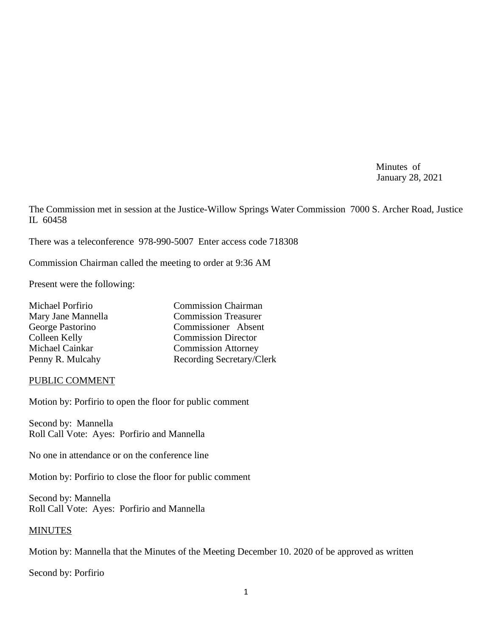Minutes of January 28, 2021

The Commission met in session at the Justice-Willow Springs Water Commission 7000 S. Archer Road, Justice IL 60458

There was a teleconference 978-990-5007 Enter access code 718308

Commission Chairman called the meeting to order at 9:36 AM

Present were the following:

| <b>Commission Chairman</b>  |
|-----------------------------|
| <b>Commission Treasurer</b> |
| Commissioner Absent         |
| <b>Commission Director</b>  |
| <b>Commission Attorney</b>  |
| Recording Secretary/Clerk   |
|                             |

### PUBLIC COMMENT

Motion by: Porfirio to open the floor for public comment

Second by: Mannella Roll Call Vote: Ayes: Porfirio and Mannella

No one in attendance or on the conference line

Motion by: Porfirio to close the floor for public comment

Second by: Mannella Roll Call Vote: Ayes: Porfirio and Mannella

### MINUTES

Motion by: Mannella that the Minutes of the Meeting December 10. 2020 of be approved as written

Second by: Porfirio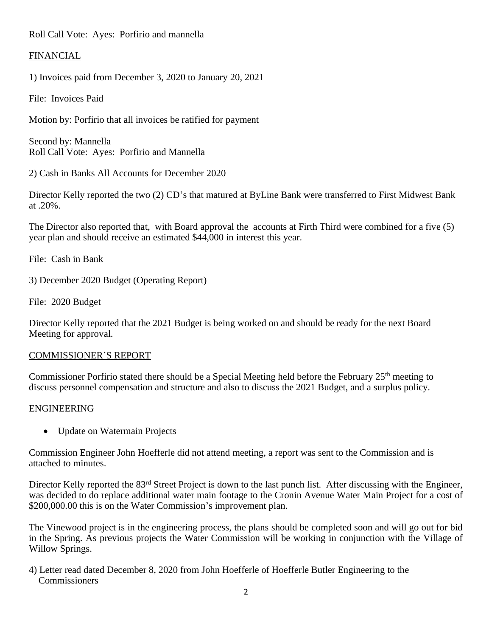Roll Call Vote: Ayes: Porfirio and mannella

## FINANCIAL

1) Invoices paid from December 3, 2020 to January 20, 2021

File: Invoices Paid

Motion by: Porfirio that all invoices be ratified for payment

Second by: Mannella Roll Call Vote: Ayes: Porfirio and Mannella

2) Cash in Banks All Accounts for December 2020

Director Kelly reported the two (2) CD's that matured at ByLine Bank were transferred to First Midwest Bank at .20%.

The Director also reported that, with Board approval the accounts at Firth Third were combined for a five (5) year plan and should receive an estimated \$44,000 in interest this year.

File: Cash in Bank

3) December 2020 Budget (Operating Report)

File: 2020 Budget

Director Kelly reported that the 2021 Budget is being worked on and should be ready for the next Board Meeting for approval.

### COMMISSIONER'S REPORT

Commissioner Porfirio stated there should be a Special Meeting held before the February 25<sup>th</sup> meeting to discuss personnel compensation and structure and also to discuss the 2021 Budget, and a surplus policy.

### ENGINEERING

• Update on Watermain Projects

Commission Engineer John Hoefferle did not attend meeting, a report was sent to the Commission and is attached to minutes.

Director Kelly reported the 83<sup>rd</sup> Street Project is down to the last punch list. After discussing with the Engineer, was decided to do replace additional water main footage to the Cronin Avenue Water Main Project for a cost of \$200,000.00 this is on the Water Commission's improvement plan.

The Vinewood project is in the engineering process, the plans should be completed soon and will go out for bid in the Spring. As previous projects the Water Commission will be working in conjunction with the Village of Willow Springs.

4) Letter read dated December 8, 2020 from John Hoefferle of Hoefferle Butler Engineering to the Commissioners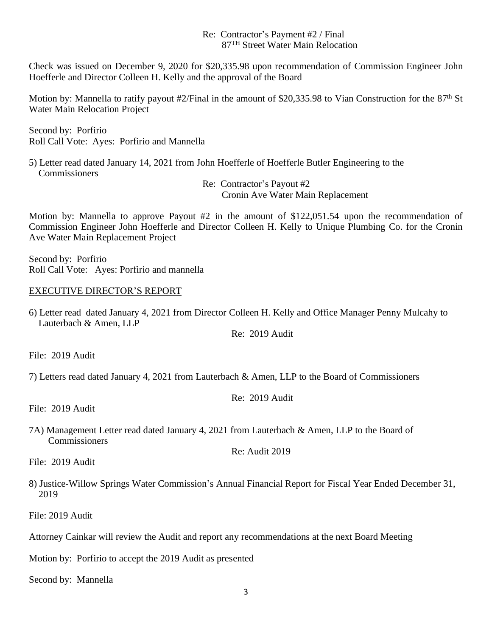## Re: Contractor's Payment #2 / Final 87TH Street Water Main Relocation

Check was issued on December 9, 2020 for \$20,335.98 upon recommendation of Commission Engineer John Hoefferle and Director Colleen H. Kelly and the approval of the Board

Motion by: Mannella to ratify payout #2/Final in the amount of \$20,335.98 to Vian Construction for the 87<sup>th</sup> St Water Main Relocation Project

Second by: Porfirio Roll Call Vote: Ayes: Porfirio and Mannella

5) Letter read dated January 14, 2021 from John Hoefferle of Hoefferle Butler Engineering to the **Commissioners** 

> Re: Contractor's Payout #2 Cronin Ave Water Main Replacement

Motion by: Mannella to approve Payout #2 in the amount of \$122,051.54 upon the recommendation of Commission Engineer John Hoefferle and Director Colleen H. Kelly to Unique Plumbing Co. for the Cronin Ave Water Main Replacement Project

Second by: Porfirio Roll Call Vote: Ayes: Porfirio and mannella

## EXECUTIVE DIRECTOR'S REPORT

6) Letter read dated January 4, 2021 from Director Colleen H. Kelly and Office Manager Penny Mulcahy to Lauterbach & Amen, LLP

Re: 2019 Audit

File: 2019 Audit

7) Letters read dated January 4, 2021 from Lauterbach & Amen, LLP to the Board of Commissioners

Re: 2019 Audit

File: 2019 Audit

7A) Management Letter read dated January 4, 2021 from Lauterbach & Amen, LLP to the Board of **Commissioners** Re: Audit 2019

File: 2019 Audit

8) Justice-Willow Springs Water Commission's Annual Financial Report for Fiscal Year Ended December 31, 2019

File: 2019 Audit

Attorney Cainkar will review the Audit and report any recommendations at the next Board Meeting

Motion by: Porfirio to accept the 2019 Audit as presented

Second by: Mannella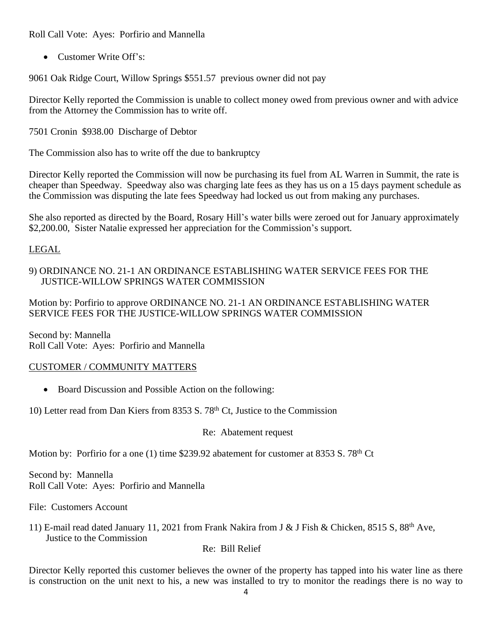Roll Call Vote: Ayes: Porfirio and Mannella

• Customer Write Off's:

9061 Oak Ridge Court, Willow Springs \$551.57 previous owner did not pay

Director Kelly reported the Commission is unable to collect money owed from previous owner and with advice from the Attorney the Commission has to write off.

7501 Cronin \$938.00 Discharge of Debtor

The Commission also has to write off the due to bankruptcy

Director Kelly reported the Commission will now be purchasing its fuel from AL Warren in Summit, the rate is cheaper than Speedway. Speedway also was charging late fees as they has us on a 15 days payment schedule as the Commission was disputing the late fees Speedway had locked us out from making any purchases.

She also reported as directed by the Board, Rosary Hill's water bills were zeroed out for January approximately \$2,200.00, Sister Natalie expressed her appreciation for the Commission's support.

# LEGAL

## 9) ORDINANCE NO. 21-1 AN ORDINANCE ESTABLISHING WATER SERVICE FEES FOR THE JUSTICE-WILLOW SPRINGS WATER COMMISSION

Motion by: Porfirio to approve ORDINANCE NO. 21-1 AN ORDINANCE ESTABLISHING WATER SERVICE FEES FOR THE JUSTICE-WILLOW SPRINGS WATER COMMISSION

Second by: Mannella Roll Call Vote: Ayes: Porfirio and Mannella

# CUSTOMER / COMMUNITY MATTERS

• Board Discussion and Possible Action on the following:

10) Letter read from Dan Kiers from 8353 S. 78th Ct, Justice to the Commission

Re: Abatement request

Motion by: Porfirio for a one (1) time \$239.92 abatement for customer at 8353 S. 78<sup>th</sup> Ct

Second by: Mannella Roll Call Vote: Ayes: Porfirio and Mannella

File: Customers Account

11) E-mail read dated January 11, 2021 from Frank Nakira from J & J Fish & Chicken, 8515 S, 88th Ave, Justice to the Commission

Re: Bill Relief

Director Kelly reported this customer believes the owner of the property has tapped into his water line as there is construction on the unit next to his, a new was installed to try to monitor the readings there is no way to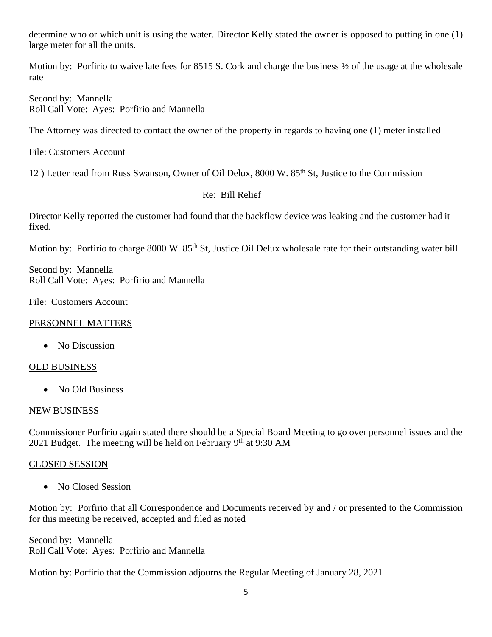determine who or which unit is using the water. Director Kelly stated the owner is opposed to putting in one (1) large meter for all the units.

Motion by: Porfirio to waive late fees for 8515 S. Cork and charge the business  $\frac{1}{2}$  of the usage at the wholesale rate

Second by: Mannella Roll Call Vote: Ayes: Porfirio and Mannella

The Attorney was directed to contact the owner of the property in regards to having one (1) meter installed

File: Customers Account

12) Letter read from Russ Swanson, Owner of Oil Delux, 8000 W. 85<sup>th</sup> St, Justice to the Commission

### Re: Bill Relief

Director Kelly reported the customer had found that the backflow device was leaking and the customer had it fixed.

Motion by: Porfirio to charge 8000 W. 85<sup>th</sup> St, Justice Oil Delux wholesale rate for their outstanding water bill

Second by: Mannella Roll Call Vote: Ayes: Porfirio and Mannella

File: Customers Account

### PERSONNEL MATTERS

• No Discussion

### OLD BUSINESS

• No Old Business

### NEW BUSINESS

Commissioner Porfirio again stated there should be a Special Board Meeting to go over personnel issues and the 2021 Budget. The meeting will be held on February 9<sup>th</sup> at 9:30 AM

### CLOSED SESSION

• No Closed Session

Motion by: Porfirio that all Correspondence and Documents received by and / or presented to the Commission for this meeting be received, accepted and filed as noted

Second by: Mannella Roll Call Vote: Ayes: Porfirio and Mannella

Motion by: Porfirio that the Commission adjourns the Regular Meeting of January 28, 2021